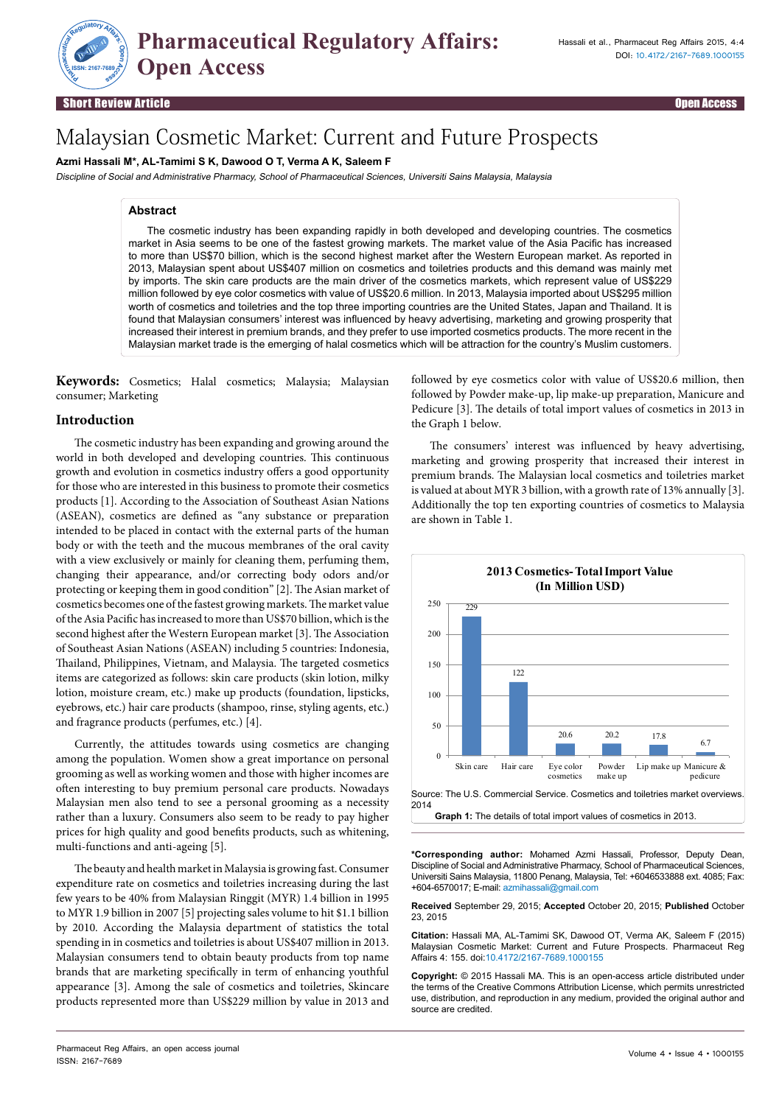

Short Review Article Open Access

**ISSN: 2167-7689**

# Malaysian Cosmetic Market: Current and Future Prospects

# **Azmi Hassali M\*, AL-Tamimi S K, Dawood O T, Verma A K, Saleem F**

Discipline of Social and Administrative Pharmacy, School of Pharmaceutical Sciences, Universiti Sains Malaysia, Malaysia

# **Abstract**

The cosmetic industry has been expanding rapidly in both developed and developing countries. The cosmetics market in Asia seems to be one of the fastest growing markets. The market value of the Asia Pacific has increased to more than US\$70 billion, which is the second highest market after the Western European market. As reported in 2013, Malaysian spent about US\$407 million on cosmetics and toiletries products and this demand was mainly met by imports. The skin care products are the main driver of the cosmetics markets, which represent value of US\$229 million followed by eye color cosmetics with value of US\$20.6 million. In 2013, Malaysia imported about US\$295 million worth of cosmetics and toiletries and the top three importing countries are the United States, Japan and Thailand. It is found that Malaysian consumers' interest was influenced by heavy advertising, marketing and growing prosperity that increased their interest in premium brands, and they prefer to use imported cosmetics products. The more recent in the Malaysian market trade is the emerging of halal cosmetics which will be attraction for the country's Muslim customers.

**Keywords:** Cosmetics; Halal cosmetics; Malaysia; Malaysian consumer; Marketing

# **Introduction**

The cosmetic industry has been expanding and growing around the world in both developed and developing countries. This continuous growth and evolution in cosmetics industry offers a good opportunity for those who are interested in this business to promote their cosmetics products [1]. According to the Association of Southeast Asian Nations (ASEAN), cosmetics are defined as "any substance or preparation intended to be placed in contact with the external parts of the human body or with the teeth and the mucous membranes of the oral cavity with a view exclusively or mainly for cleaning them, perfuming them, changing their appearance, and/or correcting body odors and/or protecting or keeping them in good condition" [2]. The Asian market of cosmetics becomes one of the fastest growing markets. The market value of the Asia Pacific has increased to more than US\$70 billion, which is the second highest after the Western European market [3]. The Association of Southeast Asian Nations (ASEAN) including 5 countries: Indonesia, Thailand, Philippines, Vietnam, and Malaysia. The targeted cosmetics items are categorized as follows: skin care products (skin lotion, milky lotion, moisture cream, etc.) make up products (foundation, lipsticks, eyebrows, etc.) hair care products (shampoo, rinse, styling agents, etc.) and fragrance products (perfumes, etc.) [4].

Currently, the attitudes towards using cosmetics are changing among the population. Women show a great importance on personal grooming as well as working women and those with higher incomes are often interesting to buy premium personal care products. Nowadays Malaysian men also tend to see a personal grooming as a necessity rather than a luxury. Consumers also seem to be ready to pay higher prices for high quality and good benefits products, such as whitening, multi-functions and anti-ageing [5].

The beauty and health market in Malaysia is growing fast. Consumer expenditure rate on cosmetics and toiletries increasing during the last few years to be 40% from Malaysian Ringgit (MYR) 1.4 billion in 1995 to MYR 1.9 billion in 2007 [5] projecting sales volume to hit \$1.1 billion by 2010. According the Malaysia department of statistics the total spending in in cosmetics and toiletries is about US\$407 million in 2013. Malaysian consumers tend to obtain beauty products from top name brands that are marketing specifically in term of enhancing youthful appearance [3]. Among the sale of cosmetics and toiletries, Skincare products represented more than US\$229 million by value in 2013 and followed by eye cosmetics color with value of US\$20.6 million, then followed by Powder make-up, lip make-up preparation, Manicure and Pedicure [3]. The details of total import values of cosmetics in 2013 in the Graph 1 below.

The consumers' interest was influenced by heavy advertising, marketing and growing prosperity that increased their interest in premium brands. The Malaysian local cosmetics and toiletries market is valued at about MYR 3 billion, with a growth rate of 13% annually [3]. Additionally the top ten exporting countries of cosmetics to Malaysia are shown in Table 1.



**\*Corresponding author:** Mohamed Azmi Hassali, Professor, Deputy Dean, Discipline of Social and Administrative Pharmacy, School of Pharmaceutical Sciences, Universiti Sains Malaysia, 11800 Penang, Malaysia, Tel: +6046533888 ext. 4085; Fax: +604-6570017; E-mail: azmihassali@gmail.com

**Received** September 29, 2015; **Accepted** October 20, 2015; **Published** October 23, 2015

**Citation:** Hassali MA, AL-Tamimi SK, Dawood OT, Verma AK, Saleem F (2015) Malaysian Cosmetic Market: Current and Future Prospects. Pharmaceut Reg Affairs 4: 155. doi:10.4172/2167-7689.1000155

**Copyright:** © 2015 Hassali MA. This is an open-access article distributed under the terms of the Creative Commons Attribution License, which permits unrestricted use, distribution, and reproduction in any medium, provided the original author and source are credited.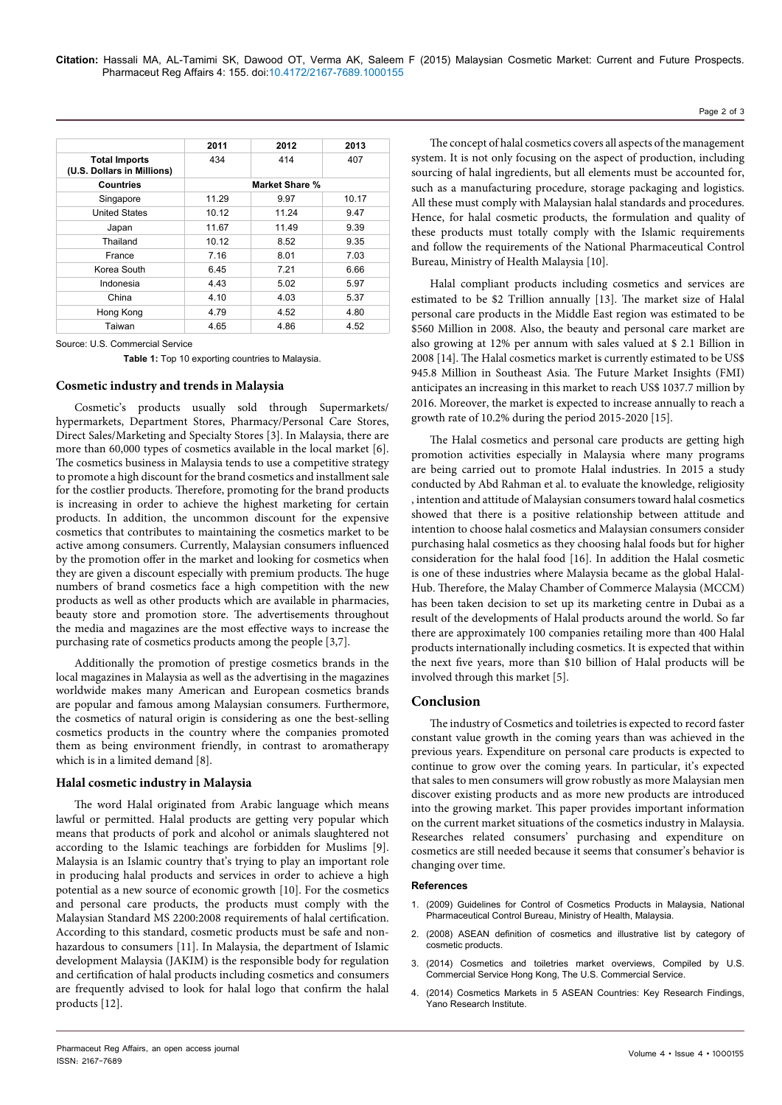|                                                    | 2011           | 2012  | 2013  |
|----------------------------------------------------|----------------|-------|-------|
| <b>Total Imports</b><br>(U.S. Dollars in Millions) | 434            | 414   | 407   |
| Countries                                          | Market Share % |       |       |
| Singapore                                          | 11.29          | 9.97  | 10.17 |
| <b>United States</b>                               | 10.12          | 11.24 | 9.47  |
| Japan                                              | 11.67          | 11.49 | 9.39  |
| Thailand                                           | 10.12          | 8.52  | 9.35  |
| France                                             | 7.16           | 8.01  | 7.03  |
| Korea South                                        | 6.45           | 7.21  | 6.66  |
| Indonesia                                          | 4.43           | 5.02  | 5.97  |
| China                                              | 4.10           | 4.03  | 5.37  |
| Hong Kong                                          | 4.79           | 4.52  | 4.80  |
| Taiwan                                             | 4.65           | 4.86  | 4.52  |

#### Source: U.S. Commercial Service

**Table 1:** Top 10 exporting countries to Malaysia.

### **Cosmetic industry and trends in Malaysia**

Cosmetic's products usually sold through Supermarkets/ hypermarkets, Department Stores, Pharmacy/Personal Care Stores, Direct Sales/Marketing and Specialty Stores [3]. In Malaysia, there are more than 60,000 types of cosmetics available in the local market [6]. The cosmetics business in Malaysia tends to use a competitive strategy to promote a high discount for the brand cosmetics and installment sale for the costlier products. Therefore, promoting for the brand products is increasing in order to achieve the highest marketing for certain products. In addition, the uncommon discount for the expensive cosmetics that contributes to maintaining the cosmetics market to be active among consumers. Currently, Malaysian consumers influenced by the promotion offer in the market and looking for cosmetics when they are given a discount especially with premium products. The huge numbers of brand cosmetics face a high competition with the new products as well as other products which are available in pharmacies, beauty store and promotion store. The advertisements throughout the media and magazines are the most effective ways to increase the purchasing rate of cosmetics products among the people [3,7].

Additionally the promotion of prestige cosmetics brands in the local magazines in Malaysia as well as the advertising in the magazines worldwide makes many American and European cosmetics brands are popular and famous among Malaysian consumers. Furthermore, the cosmetics of natural origin is considering as one the best-selling cosmetics products in the country where the companies promoted them as being environment friendly, in contrast to aromatherapy which is in a limited demand [8].

## **Halal cosmetic industry in Malaysia**

The word Halal originated from Arabic language which means lawful or permitted. Halal products are getting very popular which means that products of pork and alcohol or animals slaughtered not according to the Islamic teachings are forbidden for Muslims [9]. Malaysia is an Islamic country that's trying to play an important role in producing halal products and services in order to achieve a high potential as a new source of economic growth [10]. For the cosmetics and personal care products, the products must comply with the Malaysian Standard MS 2200:2008 requirements of halal certification. According to this standard, cosmetic products must be safe and nonhazardous to consumers [11]. In Malaysia, the department of Islamic development Malaysia (JAKIM) is the responsible body for regulation and certification of halal products including cosmetics and consumers are frequently advised to look for halal logo that confirm the halal products [12].

The concept of halal cosmetics covers all aspects of the management system. It is not only focusing on the aspect of production, including sourcing of halal ingredients, but all elements must be accounted for, such as a manufacturing procedure, storage packaging and logistics. All these must comply with Malaysian halal standards and procedures. Hence, for halal cosmetic products, the formulation and quality of these products must totally comply with the Islamic requirements and follow the requirements of the National Pharmaceutical Control Bureau, Ministry of Health Malaysia [10].

Halal compliant products including cosmetics and services are estimated to be \$2 Trillion annually [13]. The market size of Halal personal care products in the Middle East region was estimated to be \$560 Million in 2008. Also, the beauty and personal care market are also growing at 12% per annum with sales valued at \$ 2.1 Billion in 2008 [14]. The Halal cosmetics market is currently estimated to be US\$ 945.8 Million in Southeast Asia. The Future Market Insights (FMI) anticipates an increasing in this market to reach US\$ 1037.7 million by 2016. Moreover, the market is expected to increase annually to reach a growth rate of 10.2% during the period 2015-2020 [15].

The Halal cosmetics and personal care products are getting high promotion activities especially in Malaysia where many programs are being carried out to promote Halal industries. In 2015 a study conducted by Abd Rahman et al. to evaluate the knowledge, religiosity , intention and attitude of Malaysian consumers toward halal cosmetics showed that there is a positive relationship between attitude and intention to choose halal cosmetics and Malaysian consumers consider purchasing halal cosmetics as they choosing halal foods but for higher consideration for the halal food [16]. In addition the Halal cosmetic is one of these industries where Malaysia became as the global Halal-Hub. Therefore, the Malay Chamber of Commerce Malaysia (MCCM) has been taken decision to set up its marketing centre in Dubai as a result of the developments of Halal products around the world. So far there are approximately 100 companies retailing more than 400 Halal products internationally including cosmetics. It is expected that within the next five years, more than \$10 billion of Halal products will be involved through this market [5].

# **Conclusion**

The industry of Cosmetics and toiletries is expected to record faster constant value growth in the coming years than was achieved in the previous years. Expenditure on personal care products is expected to continue to grow over the coming years. In particular, it's expected that sales to men consumers will grow robustly as more Malaysian men discover existing products and as more new products are introduced into the growing market. This paper provides important information on the current market situations of the cosmetics industry in Malaysia. Researches related consumers' purchasing and expenditure on cosmetics are still needed because it seems that consumer's behavior is changing over time.

## **References**

- 1. [\(2009\) Guidelines for Control of Cosmetics Products in Malaysia, National](http://www.asianfoodreg.com/dynamicAssets/regulationDoc/1411566731_GuidanceonClassificationoct2011.pdf)  [Pharmaceutical Control Bureau, Ministry of Health, Malaysia.](http://www.asianfoodreg.com/dynamicAssets/regulationDoc/1411566731_GuidanceonClassificationoct2011.pdf)
- 2. [\(2008\) ASEAN definition of cosmetics and illustrative list by category of](http://www.aseancosmetics.org/docdocs/technical.pdf)  [cosmetic products.](http://www.aseancosmetics.org/docdocs/technical.pdf)
- 3. [\(2014\) Cosmetics and toiletries market overviews, Compiled by U.S.](http://www.export.gov/hongkong/build/groups/public/@eg_hk/documents/webcontent/eg_hk_089943.pdf)  [Commercial Service Hong Kong, The U.S. Commercial Service.](http://www.export.gov/hongkong/build/groups/public/@eg_hk/documents/webcontent/eg_hk_089943.pdf)
- 4. [\(2014\) Cosmetics Markets in 5 ASEAN Countries: Key Research Findings,](http://www.yanoresearch.com/press/pdf/1254.pdf)  [Yano Research Institute.](http://www.yanoresearch.com/press/pdf/1254.pdf)